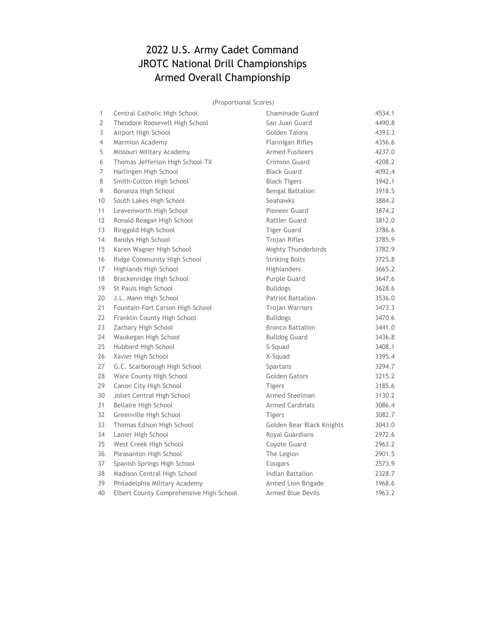# 2022 U.S. Army Cadet Command JROTC National Drill Championships Armed Overall Championship

(Proportional Scores)

| 1  | Central Catholic High School            | Chaminade Guard           | 4534.1 |
|----|-----------------------------------------|---------------------------|--------|
| 2  | Theodore Roosevelt High School          | San Juan Guard            | 4490.8 |
| 3  | Airport High School                     | Golden Talons             | 4393.3 |
| 4  | Marmion Academy                         | Flannigan Rifles          | 4356.6 |
| 5  | Missouri Military Academy               | <b>Armed Fusileers</b>    | 4237.0 |
| 6  | Thomas Jefferson High School-TX         | Crimson Guard             | 4208.2 |
| 7  | Harlingen High School                   | <b>Black Guard</b>        | 4092.4 |
| 8  | Smith-Cotton High School                | <b>Black Tigers</b>       | 3942.1 |
| 9  | Bonanza High School                     | <b>Bengal Battalion</b>   | 3918.5 |
| 10 | South Lakes High School                 | Seahawks                  | 3884.2 |
| 11 | Leavenworth High School                 | Pioneer Guard             | 3874.2 |
| 12 | Ronald Reagan High School               | <b>Rattler Guard</b>      | 3812.0 |
| 13 | Ringgold High School                    | <b>Tiger Guard</b>        | 3786.6 |
| 14 | Bandys High School                      | <b>Trojan Rifles</b>      | 3785.9 |
| 15 | Karen Wagner High School                | Mighty Thunderbirds       | 3782.9 |
| 16 | Ridge Community High School             | <b>Striking Bolts</b>     | 3725.8 |
| 17 | Highlands High School                   | Highlanders               | 3665.2 |
| 18 | Brackenridge High School                | Purple Guard              | 3647.6 |
| 19 | St Pauls High School                    | <b>Bulldogs</b>           | 3628.6 |
| 20 | J.L. Mann High School                   | Patriot Battalion         | 3536.0 |
| 21 | Fountain-Fort Carson High School        | <b>Trojan Warriors</b>    | 3473.3 |
| 22 | Franklin County High School             | <b>Bulldogs</b>           | 3470.6 |
| 23 | Zachary High School                     | <b>Bronco Battalion</b>   | 3441.0 |
| 24 | Waukegan High School                    | <b>Bulldog Guard</b>      | 3436.8 |
| 25 | Hubbard High School                     | S-Squad                   | 3408.1 |
| 26 | Xavier High School                      | X-Squad                   | 3395.4 |
| 27 | G.C. Scarborough High School            | Spartans                  | 3294.7 |
| 28 | Ware County High School                 | Golden Gators             | 3215.2 |
| 29 | Canon City High School                  | <b>Tigers</b>             | 3185.6 |
| 30 | Joliet Central High School              | Armed Steelman            | 3130.2 |
| 31 | Bellaire High School                    | <b>Armed Cardinals</b>    | 3086.4 |
| 32 | Greenville High School                  | <b>Tigers</b>             | 3082.7 |
| 33 | Thomas Edison High School               | Golden Bear Black Knights | 3043.0 |
| 34 | Lanier High School                      | Royal Guardians           | 2972.6 |
| 35 | West Creek High School                  | Coyote Guard              | 2963.2 |
| 36 | Pleasanton High School                  | The Legion                | 2901.5 |
| 37 | Spanish Springs High School             | Cougars                   | 2573.9 |
| 38 | Madison Central High School             | Indian Battalion          | 2328.7 |
| 39 | Philadelphia Military Academy           | Armed Lion Brigade        | 1968.6 |
| 40 | Elbert County Comprehensive High School | <b>Armed Blue Devils</b>  | 1963.2 |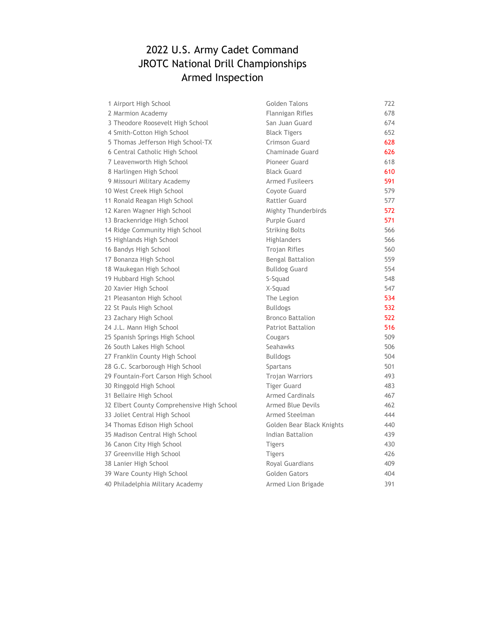# 2022 U.S. Army Cadet Command JROTC National Drill Championships Armed Inspection

| 1 Airport High School                      | Golden Talons             | 722 |
|--------------------------------------------|---------------------------|-----|
| 2 Marmion Academy                          | Flannigan Rifles          | 678 |
| 3 Theodore Roosevelt High School           | San Juan Guard            | 674 |
| 4 Smith-Cotton High School                 | <b>Black Tigers</b>       | 652 |
| 5 Thomas Jefferson High School-TX          | Crimson Guard             | 628 |
| 6 Central Catholic High School             | Chaminade Guard           | 626 |
| 7 Leavenworth High School                  | Pioneer Guard             | 618 |
| 8 Harlingen High School                    | <b>Black Guard</b>        | 610 |
| 9 Missouri Military Academy                | <b>Armed Fusileers</b>    | 591 |
| 10 West Creek High School                  | Coyote Guard              | 579 |
| 11 Ronald Reagan High School               | <b>Rattler Guard</b>      | 577 |
| 12 Karen Wagner High School                | Mighty Thunderbirds       | 572 |
| 13 Brackenridge High School                | Purple Guard              | 571 |
| 14 Ridge Community High School             | <b>Striking Bolts</b>     | 566 |
| 15 Highlands High School                   | Highlanders               | 566 |
| 16 Bandys High School                      | <b>Trojan Rifles</b>      | 560 |
| 17 Bonanza High School                     | <b>Bengal Battalion</b>   | 559 |
| 18 Waukegan High School                    | <b>Bulldog Guard</b>      | 554 |
| 19 Hubbard High School                     | S-Squad                   | 548 |
| 20 Xavier High School                      | X-Squad                   | 547 |
| 21 Pleasanton High School                  | The Legion                | 534 |
| 22 St Pauls High School                    | <b>Bulldogs</b>           | 532 |
| 23 Zachary High School                     | <b>Bronco Battalion</b>   | 522 |
| 24 J.L. Mann High School                   | <b>Patriot Battalion</b>  | 516 |
| 25 Spanish Springs High School             | Cougars                   | 509 |
| 26 South Lakes High School                 | Seahawks                  | 506 |
| 27 Franklin County High School             | <b>Bulldogs</b>           | 504 |
| 28 G.C. Scarborough High School            | Spartans                  | 501 |
| 29 Fountain-Fort Carson High School        | <b>Trojan Warriors</b>    | 493 |
| 30 Ringgold High School                    | <b>Tiger Guard</b>        | 483 |
| 31 Bellaire High School                    | <b>Armed Cardinals</b>    | 467 |
| 32 Elbert County Comprehensive High School | <b>Armed Blue Devils</b>  | 462 |
| 33 Joliet Central High School              | Armed Steelman            | 444 |
| 34 Thomas Edison High School               | Golden Bear Black Knights | 440 |
| 35 Madison Central High School             | Indian Battalion          | 439 |
| 36 Canon City High School                  | <b>Tigers</b>             | 430 |
| 37 Greenville High School                  | <b>Tigers</b>             | 426 |
| 38 Lanier High School                      | Royal Guardians           | 409 |
| 39 Ware County High School                 | Golden Gators             | 404 |
| 40 Philadelphia Military Academy           | Armed Lion Brigade        | 391 |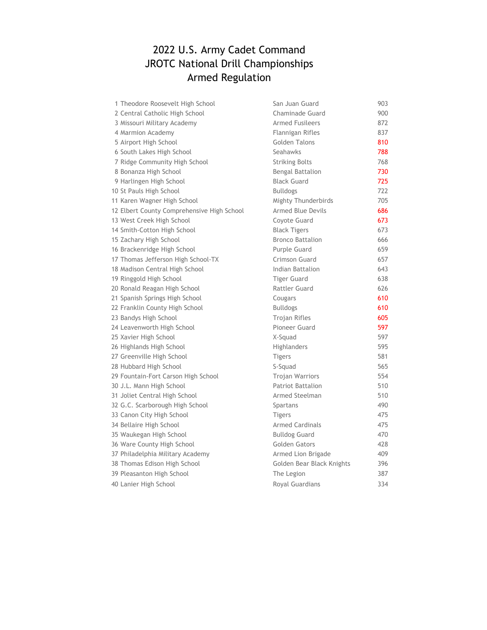# 2022 U.S. Army Cadet Command JROTC National Drill Championships Armed Regulation

| 1 Theodore Roosevelt High School           | San Juan Guard            | 903 |
|--------------------------------------------|---------------------------|-----|
| 2 Central Catholic High School             | Chaminade Guard           | 900 |
| 3 Missouri Military Academy                | <b>Armed Fusileers</b>    | 872 |
| 4 Marmion Academy                          | Flannigan Rifles          | 837 |
| 5 Airport High School                      | <b>Golden Talons</b>      | 810 |
| 6 South Lakes High School                  | Seahawks                  | 788 |
| 7 Ridge Community High School              | <b>Striking Bolts</b>     | 768 |
| 8 Bonanza High School                      | <b>Bengal Battalion</b>   | 730 |
| 9 Harlingen High School                    | <b>Black Guard</b>        | 725 |
| 10 St Pauls High School                    | <b>Bulldogs</b>           | 722 |
| 11 Karen Wagner High School                | Mighty Thunderbirds       | 705 |
| 12 Elbert County Comprehensive High School | <b>Armed Blue Devils</b>  | 686 |
| 13 West Creek High School                  | Coyote Guard              | 673 |
| 14 Smith-Cotton High School                | <b>Black Tigers</b>       | 673 |
| 15 Zachary High School                     | <b>Bronco Battalion</b>   | 666 |
| 16 Brackenridge High School                | Purple Guard              | 659 |
| 17 Thomas Jefferson High School-TX         | Crimson Guard             | 657 |
| 18 Madison Central High School             | Indian Battalion          | 643 |
| 19 Ringgold High School                    | <b>Tiger Guard</b>        | 638 |
| 20 Ronald Reagan High School               | Rattler Guard             | 626 |
| 21 Spanish Springs High School             | Cougars                   | 610 |
| 22 Franklin County High School             | <b>Bulldogs</b>           | 610 |
| 23 Bandys High School                      | Trojan Rifles             | 605 |
| 24 Leavenworth High School                 | Pioneer Guard             | 597 |
| 25 Xavier High School                      | X-Squad                   | 597 |
| 26 Highlands High School                   | Highlanders               | 595 |
| 27 Greenville High School                  | <b>Tigers</b>             | 581 |
| 28 Hubbard High School                     | S-Squad                   | 565 |
| 29 Fountain-Fort Carson High School        | <b>Trojan Warriors</b>    | 554 |
| 30 J.L. Mann High School                   | Patriot Battalion         | 510 |
| 31 Joliet Central High School              | Armed Steelman            | 510 |
| 32 G.C. Scarborough High School            | Spartans                  | 490 |
| 33 Canon City High School                  | <b>Tigers</b>             | 475 |
| 34 Bellaire High School                    | <b>Armed Cardinals</b>    | 475 |
| 35 Waukegan High School                    | <b>Bulldog Guard</b>      | 470 |
| 36 Ware County High School                 | <b>Golden Gators</b>      | 428 |
| 37 Philadelphia Military Academy           | Armed Lion Brigade        | 409 |
| 38 Thomas Edison High School               | Golden Bear Black Knights | 396 |
| 39 Pleasanton High School                  | The Legion                | 387 |
| 40 Lanier High School                      | Royal Guardians           | 334 |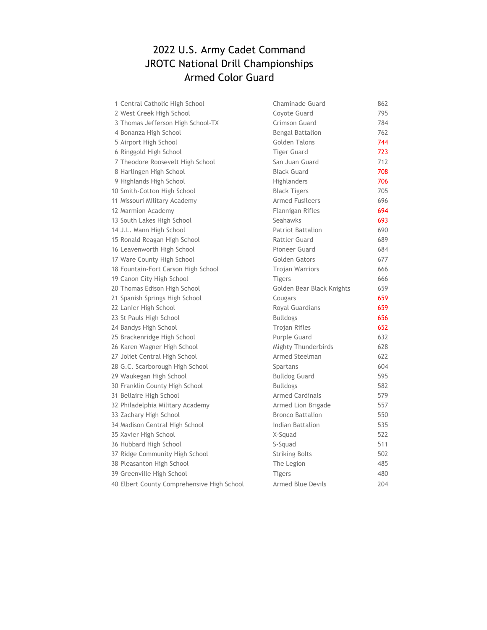#### 2022 U.S. Army Cadet Command JROTC National Drill Championships Armed Color Guard

| 1 Central Catholic High School             | Chaminade Guard           | 862 |
|--------------------------------------------|---------------------------|-----|
| 2 West Creek High School                   | Coyote Guard              | 795 |
| 3 Thomas Jefferson High School-TX          | Crimson Guard             | 784 |
| 4 Bonanza High School                      | Bengal Battalion          | 762 |
| 5 Airport High School                      | <b>Golden Talons</b>      | 744 |
| 6 Ringgold High School                     | <b>Tiger Guard</b>        | 723 |
| 7 Theodore Roosevelt High School           | San Juan Guard            | 712 |
| 8 Harlingen High School                    | <b>Black Guard</b>        | 708 |
| 9 Highlands High School                    | <b>Highlanders</b>        | 706 |
| 10 Smith-Cotton High School                | <b>Black Tigers</b>       | 705 |
| 11 Missouri Military Academy               | <b>Armed Fusileers</b>    | 696 |
| 12 Marmion Academy                         | Flannigan Rifles          | 694 |
| 13 South Lakes High School                 | Seahawks                  | 693 |
| 14 J.L. Mann High School                   | <b>Patriot Battalion</b>  | 690 |
| 15 Ronald Reagan High School               | Rattler Guard             | 689 |
| 16 Leavenworth High School                 | Pioneer Guard             | 684 |
| 17 Ware County High School                 | Golden Gators             | 677 |
| 18 Fountain-Fort Carson High School        | Trojan Warriors           | 666 |
| 19 Canon City High School                  | <b>Tigers</b>             | 666 |
| 20 Thomas Edison High School               | Golden Bear Black Knights | 659 |
| 21 Spanish Springs High School             | Cougars                   | 659 |
| 22 Lanier High School                      | Royal Guardians           | 659 |
| 23 St Pauls High School                    | <b>Bulldogs</b>           | 656 |
| 24 Bandys High School                      | Trojan Rifles             | 652 |
| 25 Brackenridge High School                | Purple Guard              | 632 |
| 26 Karen Wagner High School                | Mighty Thunderbirds       | 628 |
| 27 Joliet Central High School              | Armed Steelman            | 622 |
| 28 G.C. Scarborough High School            | Spartans                  | 604 |
| 29 Waukegan High School                    | <b>Bulldog Guard</b>      | 595 |
| 30 Franklin County High School             | <b>Bulldogs</b>           | 582 |
| 31 Bellaire High School                    | <b>Armed Cardinals</b>    | 579 |
| 32 Philadelphia Military Academy           | Armed Lion Brigade        | 557 |
| 33 Zachary High School                     | <b>Bronco Battalion</b>   | 550 |
| 34 Madison Central High School             | Indian Battalion          | 535 |
| 35 Xavier High School                      | X-Squad                   | 522 |
| 36 Hubbard High School                     | S-Squad                   | 511 |
| 37 Ridge Community High School             | <b>Striking Bolts</b>     | 502 |
| 38 Pleasanton High School                  | The Legion                | 485 |
| 39 Greenville High School                  | <b>Tigers</b>             | 480 |
| 40 Elbert County Comprehensive High School | <b>Armed Blue Devils</b>  | 204 |
|                                            |                           |     |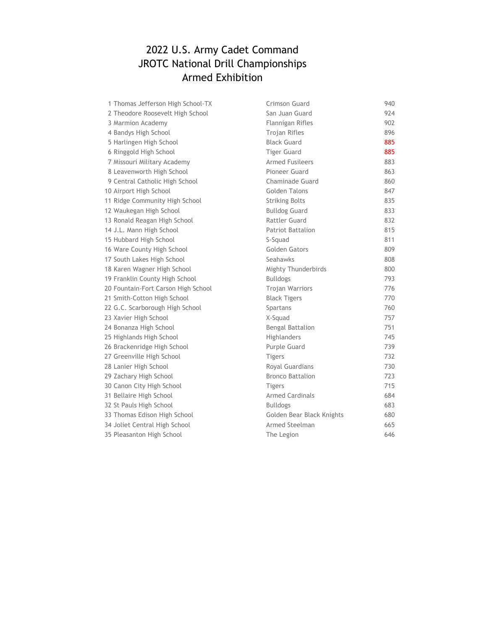# 2022 U.S. Army Cadet Command JROTC National Drill Championships Armed Exhibition

| 1 Thomas Jefferson High School-TX   | Crimson Guard             | 940 |
|-------------------------------------|---------------------------|-----|
| 2 Theodore Roosevelt High School    | San Juan Guard            | 924 |
| 3 Marmion Academy                   | Flannigan Rifles          | 902 |
| 4 Bandys High School                | <b>Trojan Rifles</b>      | 896 |
| 5 Harlingen High School             | <b>Black Guard</b>        | 885 |
| 6 Ringgold High School              | <b>Tiger Guard</b>        | 885 |
| 7 Missouri Military Academy         | <b>Armed Fusileers</b>    | 883 |
| 8 Leavenworth High School           | Pioneer Guard             | 863 |
| 9 Central Catholic High School      | Chaminade Guard           | 860 |
| 10 Airport High School              | Golden Talons             | 847 |
| 11 Ridge Community High School      | <b>Striking Bolts</b>     | 835 |
| 12 Waukegan High School             | <b>Bulldog Guard</b>      | 833 |
| 13 Ronald Reagan High School        | <b>Rattler Guard</b>      | 832 |
| 14 J.L. Mann High School            | <b>Patriot Battalion</b>  | 815 |
| 15 Hubbard High School              | S-Squad                   | 811 |
| 16 Ware County High School          | Golden Gators             | 809 |
| 17 South Lakes High School          | Seahawks                  | 808 |
| 18 Karen Wagner High School         | Mighty Thunderbirds       | 800 |
| 19 Franklin County High School      | <b>Bulldogs</b>           | 793 |
| 20 Fountain-Fort Carson High School | <b>Trojan Warriors</b>    | 776 |
| 21 Smith-Cotton High School         | <b>Black Tigers</b>       | 770 |
| 22 G.C. Scarborough High School     | Spartans                  | 760 |
| 23 Xavier High School               | X-Squad                   | 757 |
| 24 Bonanza High School              | <b>Bengal Battalion</b>   | 751 |
| 25 Highlands High School            | Highlanders               | 745 |
| 26 Brackenridge High School         | Purple Guard              | 739 |
| 27 Greenville High School           | <b>Tigers</b>             | 732 |
| 28 Lanier High School               | Royal Guardians           | 730 |
| 29 Zachary High School              | <b>Bronco Battalion</b>   | 723 |
| 30 Canon City High School           | <b>Tigers</b>             | 715 |
| 31 Bellaire High School             | <b>Armed Cardinals</b>    | 684 |
| 32 St Pauls High School             | <b>Bulldogs</b>           | 683 |
| 33 Thomas Edison High School        | Golden Bear Black Knights | 680 |
| 34 Joliet Central High School       | Armed Steelman            | 665 |
| 35 Pleasanton High School           | The Legion                | 646 |
|                                     |                           |     |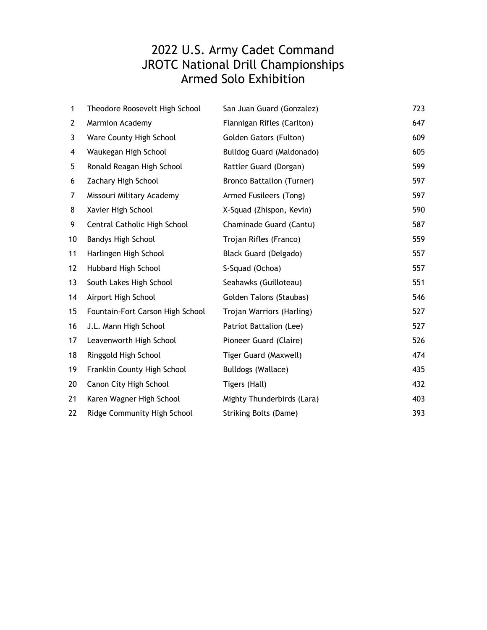# Armed Solo Exhibition 2022 U.S. Army Cadet Command JROTC National Drill Championships

| 1            | Theodore Roosevelt High School   | San Juan Guard (Gonzalez)        | 723 |
|--------------|----------------------------------|----------------------------------|-----|
| $\mathbf{2}$ | <b>Marmion Academy</b>           | Flannigan Rifles (Carlton)       | 647 |
| 3            | Ware County High School          | Golden Gators (Fulton)           | 609 |
| 4            | Waukegan High School             | Bulldog Guard (Maldonado)        | 605 |
| 5            | Ronald Reagan High School        | Rattler Guard (Dorgan)           | 599 |
| 6            | Zachary High School              | <b>Bronco Battalion (Turner)</b> | 597 |
| 7            | Missouri Military Academy        | Armed Fusileers (Tong)           | 597 |
| 8            | Xavier High School               | X-Squad (Zhispon, Kevin)         | 590 |
| 9            | Central Catholic High School     | Chaminade Guard (Cantu)          | 587 |
| 10           | <b>Bandys High School</b>        | Trojan Rifles (Franco)           | 559 |
| 11           | Harlingen High School            | Black Guard (Delgado)            | 557 |
| 12           | Hubbard High School              | S-Squad (Ochoa)                  | 557 |
| 13           | South Lakes High School          | Seahawks (Guilloteau)            | 551 |
| 14           | Airport High School              | Golden Talons (Staubas)          | 546 |
| 15           | Fountain-Fort Carson High School | Trojan Warriors (Harling)        | 527 |
| 16           | J.L. Mann High School            | Patriot Battalion (Lee)          | 527 |
| 17           | Leavenworth High School          | Pioneer Guard (Claire)           | 526 |
| 18           | Ringgold High School             | Tiger Guard (Maxwell)            | 474 |
| 19           | Franklin County High School      | Bulldogs (Wallace)               | 435 |
| 20           | Canon City High School           | Tigers (Hall)                    | 432 |
| 21           | Karen Wagner High School         | Mighty Thunderbirds (Lara)       | 403 |
| 22           | Ridge Community High School      | <b>Striking Bolts (Dame)</b>     | 393 |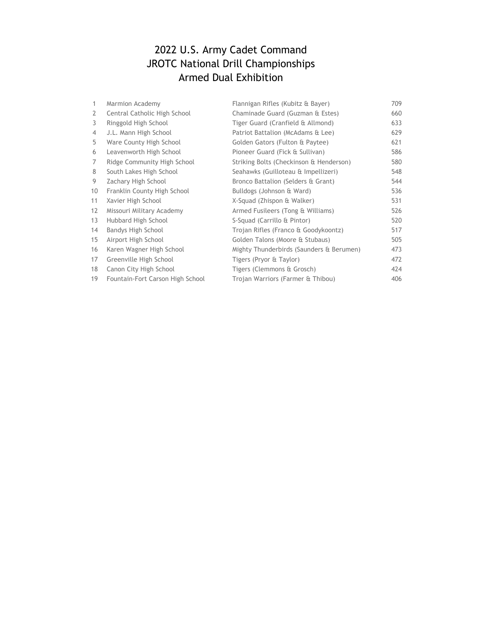#### 2022 U.S. Army Cadet Command JROTC National Drill Championships Armed Dual Exhibition

| 1  | Marmion Academy                  | Flannigan Rifles (Kubitz & Bayer)        | 709 |
|----|----------------------------------|------------------------------------------|-----|
| 2  | Central Catholic High School     | Chaminade Guard (Guzman & Estes)         | 660 |
| 3  | Ringgold High School             | Tiger Guard (Cranfield & Allmond)        | 633 |
| 4  | J.L. Mann High School            | Patriot Battalion (McAdams & Lee)        | 629 |
| 5  | Ware County High School          | Golden Gators (Fulton & Paytee)          | 621 |
| 6  | Leavenworth High School          | Pioneer Guard (Fick & Sullivan)          | 586 |
| 7  | Ridge Community High School      | Striking Bolts (Checkinson & Henderson)  | 580 |
| 8  | South Lakes High School          | Seahawks (Guilloteau & Impellizeri)      | 548 |
| 9  | Zachary High School              | Bronco Battalion (Selders & Grant)       | 544 |
| 10 | Franklin County High School      | Bulldogs (Johnson & Ward)                | 536 |
| 11 | Xavier High School               | X-Squad (Zhispon & Walker)               | 531 |
| 12 | Missouri Military Academy        | Armed Fusileers (Tong & Williams)        | 526 |
| 13 | Hubbard High School              | S-Squad (Carrillo & Pintor)              | 520 |
| 14 | Bandys High School               | Trojan Rifles (Franco & Goodykoontz)     | 517 |
| 15 | Airport High School              | Golden Talons (Moore & Stubaus)          | 505 |
| 16 | Karen Wagner High School         | Mighty Thunderbirds (Saunders & Berumen) | 473 |
| 17 | Greenville High School           | Tigers (Pryor & Taylor)                  | 472 |
| 18 | Canon City High School           | Tigers (Clemmons & Grosch)               | 424 |
| 19 | Fountain-Fort Carson High School | Trojan Warriors (Farmer & Thibou)        | 406 |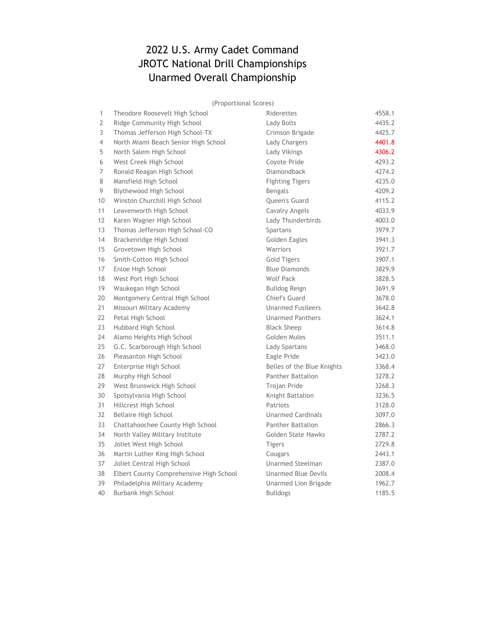# 2022 U.S. Army Cadet Command JROTC National Drill Championships Unarmed Overall Championship

(Proportional Scores)

| 1  | Theodore Roosevelt High School          | Riderettes                 | 4558.1 |
|----|-----------------------------------------|----------------------------|--------|
| 2  | Ridge Community High School             | Lady Bolts                 | 4435.2 |
| 3  | Thomas Jefferson High School-TX         | Crimson Brigade            | 4425.7 |
| 4  | North Miami Beach Senior High School    | Lady Chargers              | 4401.8 |
| 5  | North Salem High School                 | Lady Vikings               | 4306.2 |
| 6  | West Creek High School                  | Coyote Pride               | 4293.2 |
| 7  | Ronald Reagan High School               | <b>Diamondback</b>         | 4274.2 |
| 8  | Mansfield High School                   | <b>Fighting Tigers</b>     | 4235.0 |
| 9  | Blythewood High School                  | <b>Bengals</b>             | 4209.2 |
| 10 | Winston Churchill High School           | Queen's Guard              | 4115.2 |
| 11 | Leavenworth High School                 | Cavalry Angels             | 4033.9 |
| 12 | Karen Wagner High School                | Lady Thunderbirds          | 4003.0 |
| 13 | Thomas Jefferson High School-CO         | Spartans                   | 3979.7 |
| 14 | Brackenridge High School                | Golden Eagles              | 3941.3 |
| 15 | Grovetown High School                   | Warriors                   | 3921.7 |
| 16 | Smith-Cotton High School                | <b>Gold Tigers</b>         | 3907.1 |
| 17 | Enloe High School                       | <b>Blue Diamonds</b>       | 3829.9 |
| 18 | West Port High School                   | Wolf Pack                  | 3828.5 |
| 19 | Waukegan High School                    | Bulldog Reign              | 3691.9 |
| 20 | Montgomery Central High School          | Chief's Guard              | 3678.0 |
| 21 | Missouri Military Academy               | <b>Unarmed Fusileers</b>   | 3642.8 |
| 22 | Petal High School                       | <b>Unarmed Panthers</b>    | 3624.1 |
| 23 | Hubbard High School                     | <b>Black Sheep</b>         | 3614.8 |
| 24 | Alamo Heights High School               | Golden Mules               | 3511.1 |
| 25 | G.C. Scarborough High School            | Lady Spartans              | 3468.0 |
| 26 | Pleasanton High School                  | Eagle Pride                | 3423.0 |
| 27 | Enterprise High School                  | Belles of the Blue Knights | 3368.4 |
| 28 | Murphy High School                      | Panther Battalion          | 3278.2 |
| 29 | West Brunswick High School              | <b>Trojan Pride</b>        | 3268.3 |
| 30 | Spotsylvania High School                | Knight Battalion           | 3236.5 |
| 31 | Hillcrest High School                   | Patriots                   | 3128.0 |
| 32 | Bellaire High School                    | <b>Unarmed Cardinals</b>   | 3097.0 |
| 33 | Chattahoochee County High School        | <b>Panther Battalion</b>   | 2866.3 |
| 34 | North Valley Military Institute         | <b>Golden State Hawks</b>  | 2787.2 |
| 35 | Joliet West High School                 | <b>Tigers</b>              | 2729.8 |
| 36 | Martin Luther King High School          | Cougars                    | 2443.1 |
| 37 | Joliet Central High School              | <b>Unarmed Steelman</b>    | 2387.0 |
| 38 | Elbert County Comprehensive High School | <b>Unarmed Blue Devils</b> | 2008.4 |
| 39 | Philadelphia Military Academy           | Unarmed Lion Brigade       | 1962.7 |
| 40 | Burbank High School                     | <b>Bulldogs</b>            | 1185.5 |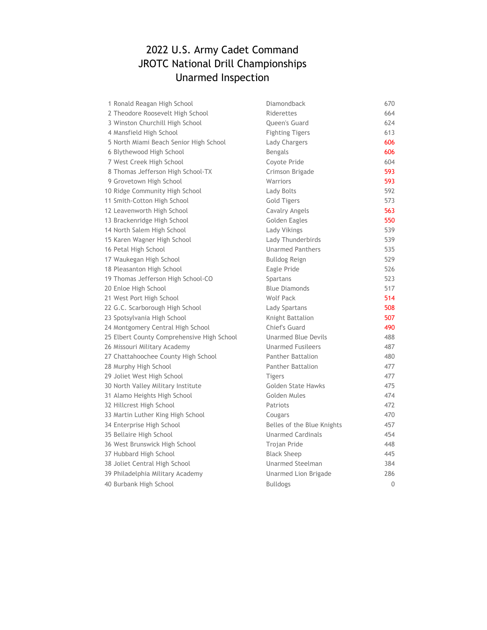# 2022 U.S. Army Cadet Command JROTC National Drill Championships Unarmed Inspection

| 1 Ronald Reagan High School                | Diamondback                | 670      |
|--------------------------------------------|----------------------------|----------|
| 2 Theodore Roosevelt High School           | Riderettes                 | 664      |
| 3 Winston Churchill High School            | Queen's Guard              | 624      |
| 4 Mansfield High School                    | <b>Fighting Tigers</b>     | 613      |
| 5 North Miami Beach Senior High School     | Lady Chargers              | 606      |
| 6 Blythewood High School                   | <b>Bengals</b>             | 606      |
| 7 West Creek High School                   | Coyote Pride               | 604      |
| 8 Thomas Jefferson High School-TX          | Crimson Brigade            | 593      |
| 9 Grovetown High School                    | Warriors                   | 593      |
| 10 Ridge Community High School             | Lady Bolts                 | 592      |
| 11 Smith-Cotton High School                | Gold Tigers                | 573      |
| 12 Leavenworth High School                 | Cavalry Angels             | 563      |
| 13 Brackenridge High School                | Golden Eagles              | 550      |
| 14 North Salem High School                 | Lady Vikings               | 539      |
| 15 Karen Wagner High School                | Lady Thunderbirds          | 539      |
| 16 Petal High School                       | <b>Unarmed Panthers</b>    | 535      |
| 17 Waukegan High School                    | <b>Bulldog Reign</b>       | 529      |
| 18 Pleasanton High School                  | Eagle Pride                | 526      |
| 19 Thomas Jefferson High School-CO         | Spartans                   | 523      |
| 20 Enloe High School                       | <b>Blue Diamonds</b>       | 517      |
| 21 West Port High School                   | <b>Wolf Pack</b>           | 514      |
| 22 G.C. Scarborough High School            | Lady Spartans              | 508      |
| 23 Spotsylvania High School                | Knight Battalion           | 507      |
| 24 Montgomery Central High School          | Chief's Guard              | 490      |
| 25 Elbert County Comprehensive High School | <b>Unarmed Blue Devils</b> | 488      |
| 26 Missouri Military Academy               | <b>Unarmed Fusileers</b>   | 487      |
| 27 Chattahoochee County High School        | Panther Battalion          | 480      |
| 28 Murphy High School                      | Panther Battalion          | 477      |
| 29 Joliet West High School                 | <b>Tigers</b>              | 477      |
| 30 North Valley Military Institute         | <b>Golden State Hawks</b>  | 475      |
| 31 Alamo Heights High School               | Golden Mules               | 474      |
| 32 Hillcrest High School                   | Patriots                   | 472      |
| 33 Martin Luther King High School          | Cougars                    | 470      |
| 34 Enterprise High School                  | Belles of the Blue Knights | 457      |
| 35 Bellaire High School                    | <b>Unarmed Cardinals</b>   | 454      |
| 36 West Brunswick High School              | Trojan Pride               | 448      |
| 37 Hubbard High School                     | <b>Black Sheep</b>         | 445      |
| 38 Joliet Central High School              | <b>Unarmed Steelman</b>    | 384      |
| 39 Philadelphia Military Academy           | Unarmed Lion Brigade       | 286      |
| 40 Burbank High School                     | <b>Bulldogs</b>            | $\Omega$ |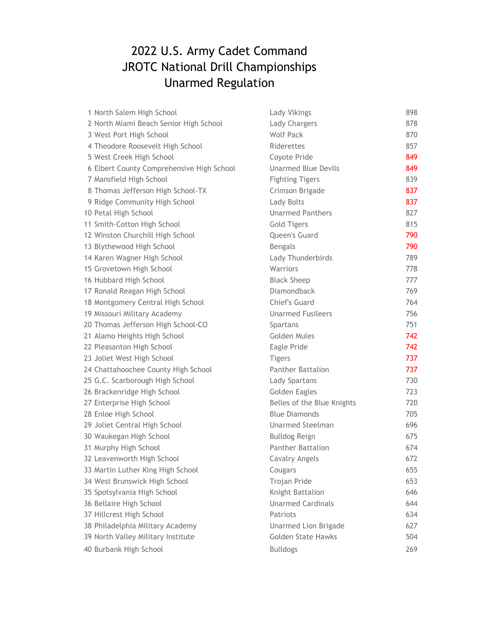# 2022 U.S. Army Cadet Command JROTC National Drill Championships Unarmed Regulation

| 1 North Salem High School                 | Lady Vikings                | 898 |
|-------------------------------------------|-----------------------------|-----|
| 2 North Miami Beach Senior High School    | Lady Chargers               | 878 |
| 3 West Port High School                   | <b>Wolf Pack</b>            | 870 |
| 4 Theodore Roosevelt High School          | Riderettes                  | 857 |
| 5 West Creek High School                  | Coyote Pride                | 849 |
| 6 Elbert County Comprehensive High School | <b>Unarmed Blue Devils</b>  | 849 |
| 7 Mansfield High School                   | <b>Fighting Tigers</b>      | 839 |
| 8 Thomas Jefferson High School-TX         | Crimson Brigade             | 837 |
| 9 Ridge Community High School             | Lady Bolts                  | 837 |
| 10 Petal High School                      | <b>Unarmed Panthers</b>     | 827 |
| 11 Smith-Cotton High School               | <b>Gold Tigers</b>          | 815 |
| 12 Winston Churchill High School          | Queen's Guard               | 790 |
| 13 Blythewood High School                 | Bengals                     | 790 |
| 14 Karen Wagner High School               | Lady Thunderbirds           | 789 |
| 15 Grovetown High School                  | Warriors                    | 778 |
| 16 Hubbard High School                    | <b>Black Sheep</b>          | 777 |
| 17 Ronald Reagan High School              | <b>Diamondback</b>          | 769 |
| 18 Montgomery Central High School         | Chief's Guard               | 764 |
| 19 Missouri Military Academy              | <b>Unarmed Fusileers</b>    | 756 |
| 20 Thomas Jefferson High School-CO        | Spartans                    | 751 |
| 21 Alamo Heights High School              | Golden Mules                | 742 |
| 22 Pleasanton High School                 | Eagle Pride                 | 742 |
| 23 Joliet West High School                | <b>Tigers</b>               | 737 |
| 24 Chattahoochee County High School       | <b>Panther Battalion</b>    | 737 |
| 25 G.C. Scarborough High School           | Lady Spartans               | 730 |
| 26 Brackenridge High School               | Golden Eagles               | 723 |
| 27 Enterprise High School                 | Belles of the Blue Knights  | 720 |
| 28 Enloe High School                      | <b>Blue Diamonds</b>        | 705 |
| 29 Joliet Central High School             | <b>Unarmed Steelman</b>     | 696 |
| 30 Waukegan High School                   | <b>Bulldog Reign</b>        | 675 |
| 31 Murphy High School                     | <b>Panther Battalion</b>    | 674 |
| 32 Leavenworth High School                | Cavalry Angels              | 672 |
| 33 Martin Luther King High School         | Cougars                     | 655 |
| 34 West Brunswick High School             | Trojan Pride                | 653 |
| 35 Spotsylvania High School               | Knight Battalion            | 646 |
| 36 Bellaire High School                   | <b>Unarmed Cardinals</b>    | 644 |
| 37 Hillcrest High School                  | Patriots                    | 634 |
| 38 Philadelphia Military Academy          | <b>Unarmed Lion Brigade</b> | 627 |
| 39 North Valley Military Institute        | <b>Golden State Hawks</b>   | 504 |
| 40 Burbank High School                    | <b>Bulldogs</b>             | 269 |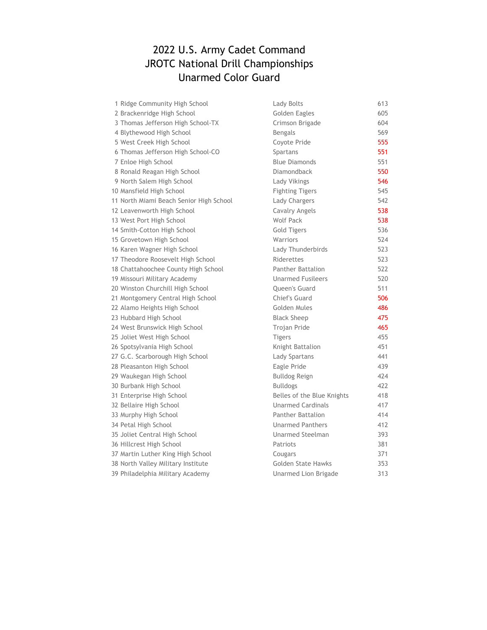#### 2022 U.S. Army Cadet Command JROTC National Drill Championships Unarmed Color Guard

| 1 Ridge Community High School           | Lady Bolts                 | 613 |
|-----------------------------------------|----------------------------|-----|
| 2 Brackenridge High School              | Golden Eagles              | 605 |
| 3 Thomas Jefferson High School-TX       | Crimson Brigade            | 604 |
| 4 Blythewood High School                | Bengals                    | 569 |
| 5 West Creek High School                | Coyote Pride               | 555 |
| 6 Thomas Jefferson High School-CO       | Spartans                   | 551 |
| 7 Enloe High School                     | <b>Blue Diamonds</b>       | 551 |
| 8 Ronald Reagan High School             | Diamondback                | 550 |
| 9 North Salem High School               | Lady Vikings               | 546 |
| 10 Mansfield High School                | <b>Fighting Tigers</b>     | 545 |
| 11 North Miami Beach Senior High School | Lady Chargers              | 542 |
| 12 Leavenworth High School              | Cavalry Angels             | 538 |
| 13 West Port High School                | Wolf Pack                  | 538 |
| 14 Smith-Cotton High School             | <b>Gold Tigers</b>         | 536 |
| 15 Grovetown High School                | Warriors                   | 524 |
| 16 Karen Wagner High School             | Lady Thunderbirds          | 523 |
| 17 Theodore Roosevelt High School       | Riderettes                 | 523 |
| 18 Chattahoochee County High School     | Panther Battalion          | 522 |
| 19 Missouri Military Academy            | <b>Unarmed Fusileers</b>   | 520 |
| 20 Winston Churchill High School        | Queen's Guard              | 511 |
| 21 Montgomery Central High School       | Chief's Guard              | 506 |
| 22 Alamo Heights High School            | Golden Mules               | 486 |
| 23 Hubbard High School                  | <b>Black Sheep</b>         | 475 |
| 24 West Brunswick High School           | <b>Trojan Pride</b>        | 465 |
| 25 Joliet West High School              | <b>Tigers</b>              | 455 |
| 26 Spotsylvania High School             | Knight Battalion           | 451 |
| 27 G.C. Scarborough High School         | Lady Spartans              | 441 |
| 28 Pleasanton High School               | Eagle Pride                | 439 |
| 29 Waukegan High School                 | <b>Bulldog Reign</b>       | 424 |
| 30 Burbank High School                  | <b>Bulldogs</b>            | 422 |
| 31 Enterprise High School               | Belles of the Blue Knights | 418 |
| 32 Bellaire High School                 | <b>Unarmed Cardinals</b>   | 417 |
| 33 Murphy High School                   | <b>Panther Battalion</b>   | 414 |
| 34 Petal High School                    | <b>Unarmed Panthers</b>    | 412 |
| 35 Joliet Central High School           | Unarmed Steelman           | 393 |
| 36 Hillcrest High School                | Patriots                   | 381 |
| 37 Martin Luther King High School       | Cougars                    | 371 |
| 38 North Valley Military Institute      | <b>Golden State Hawks</b>  | 353 |
| 39 Philadelphia Military Academy        | Unarmed Lion Brigade       | 313 |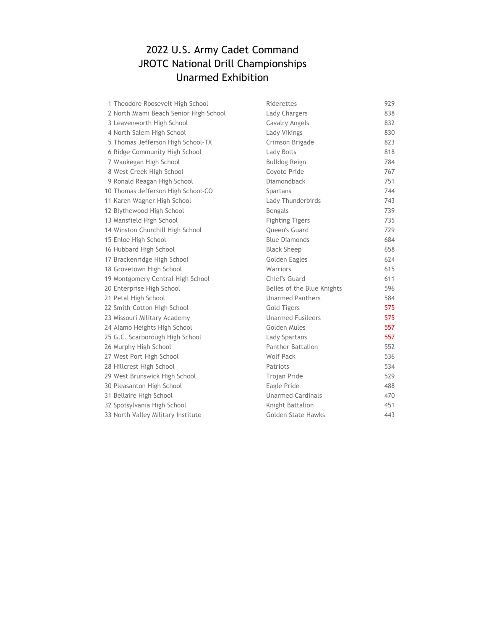#### 2022 U.S. Army Cadet Command JROTC National Drill Championships Unarmed Exhibition

| 1 Theodore Roosevelt High School       | Riderettes                 | 929 |
|----------------------------------------|----------------------------|-----|
| 2 North Miami Beach Senior High School | Lady Chargers              | 838 |
| 3 Leavenworth High School              | Cavalry Angels             | 832 |
| 4 North Salem High School              | Lady Vikings               | 830 |
| 5 Thomas Jefferson High School-TX      | Crimson Brigade            | 823 |
| 6 Ridge Community High School          | Lady Bolts                 | 818 |
| 7 Waukegan High School                 | <b>Bulldog Reign</b>       | 784 |
| 8 West Creek High School               | Coyote Pride               | 767 |
| 9 Ronald Reagan High School            | Diamondback                | 751 |
| 10 Thomas Jefferson High School-CO     | Spartans                   | 744 |
| 11 Karen Wagner High School            | Lady Thunderbirds          | 743 |
| 12 Blythewood High School              | <b>Bengals</b>             | 739 |
| 13 Mansfield High School               | <b>Fighting Tigers</b>     | 735 |
| 14 Winston Churchill High School       | Queen's Guard              | 729 |
| 15 Enloe High School                   | <b>Blue Diamonds</b>       | 684 |
| 16 Hubbard High School                 | <b>Black Sheep</b>         | 658 |
| 17 Brackenridge High School            | Golden Eagles              | 624 |
| 18 Grovetown High School               | Warriors                   | 615 |
| 19 Montgomery Central High School      | Chief's Guard              | 611 |
| 20 Enterprise High School              | Belles of the Blue Knights | 596 |
| 21 Petal High School                   | <b>Unarmed Panthers</b>    | 584 |
| 22 Smith-Cotton High School            | <b>Gold Tigers</b>         | 575 |
| 23 Missouri Military Academy           | <b>Unarmed Fusileers</b>   | 575 |
| 24 Alamo Heights High School           | Golden Mules               | 557 |
| 25 G.C. Scarborough High School        | Lady Spartans              | 557 |
| 26 Murphy High School                  | <b>Panther Battalion</b>   | 552 |
| 27 West Port High School               | Wolf Pack                  | 536 |
| 28 Hillcrest High School               | Patriots                   | 534 |
| 29 West Brunswick High School          | <b>Trojan Pride</b>        | 529 |
| 30 Pleasanton High School              | Eagle Pride                | 488 |
| 31 Bellaire High School                | <b>Unarmed Cardinals</b>   | 470 |
| 32 Spotsylvania High School            | Knight Battalion           | 451 |
| 33 North Valley Military Institute     | Golden State Hawks         | 443 |